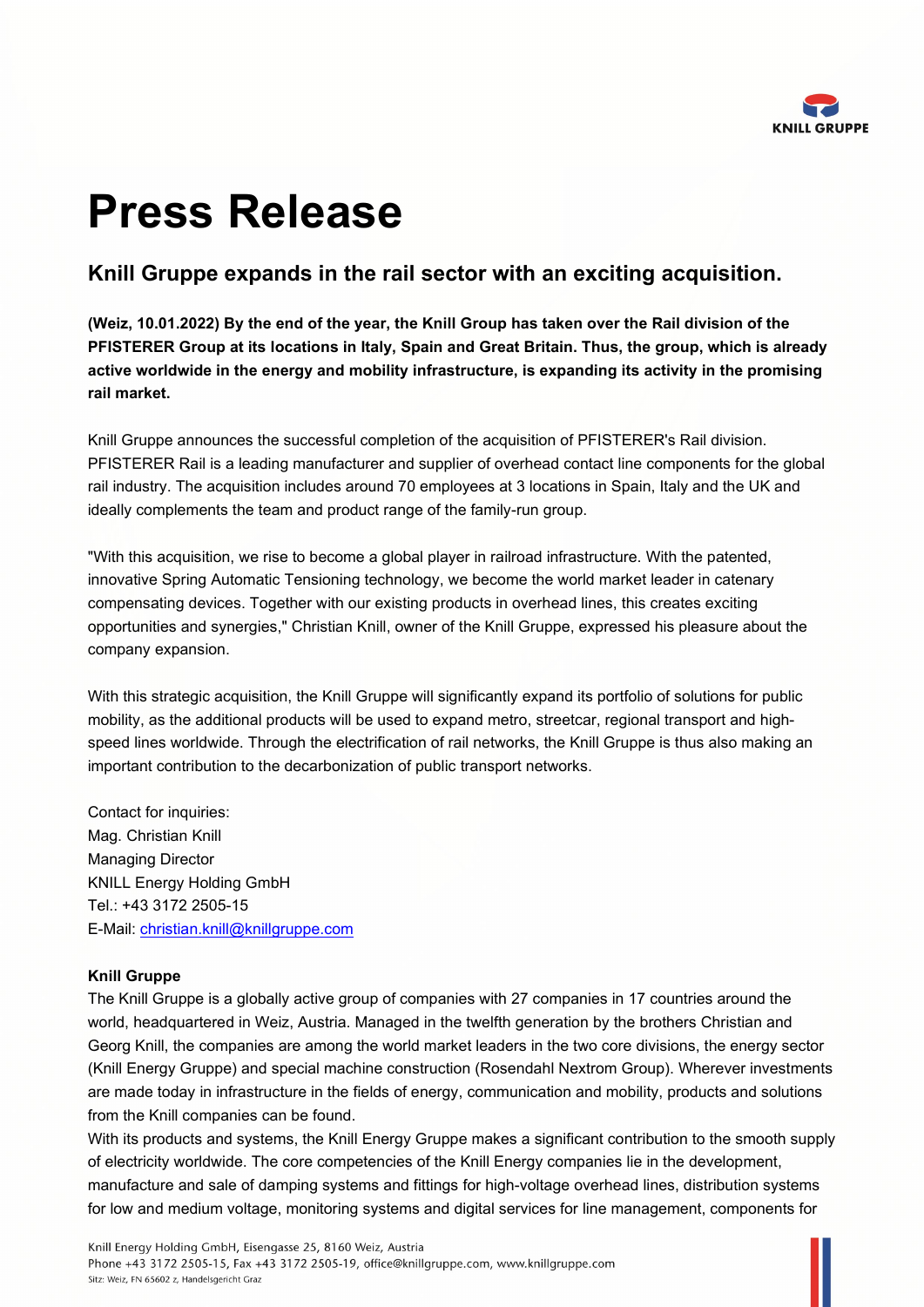

## **Press Release**

## **Knill Gruppe expands in the rail sector with an exciting acquisition.**

**(Weiz, 10.01.2022) By the end of the year, the Knill Group has taken over the Rail division of the PFISTERER Group at its locations in Italy, Spain and Great Britain. Thus, the group, which is already active worldwide in the energy and mobility infrastructure, is expanding its activity in the promising rail market.** 

Knill Gruppe announces the successful completion of the acquisition of PFISTERER's Rail division. PFISTERER Rail is a leading manufacturer and supplier of overhead contact line components for the global rail industry. The acquisition includes around 70 employees at 3 locations in Spain, Italy and the UK and ideally complements the team and product range of the family-run group.

"With this acquisition, we rise to become a global player in railroad infrastructure. With the patented, innovative Spring Automatic Tensioning technology, we become the world market leader in catenary compensating devices. Together with our existing products in overhead lines, this creates exciting opportunities and synergies," Christian Knill, owner of the Knill Gruppe, expressed his pleasure about the company expansion.

With this strategic acquisition, the Knill Gruppe will significantly expand its portfolio of solutions for public mobility, as the additional products will be used to expand metro, streetcar, regional transport and highspeed lines worldwide. Through the electrification of rail networks, the Knill Gruppe is thus also making an important contribution to the decarbonization of public transport networks.

Contact for inquiries: Mag. Christian Knill Managing Director KNILL Energy Holding GmbH Tel.: +43 3172 2505-15 E-Mail: [christian.knill@knillgruppe.com](mailto:christian.knill@knillgruppe.com)

## **Knill Gruppe**

The Knill Gruppe is a globally active group of companies with 27 companies in 17 countries around the world, headquartered in Weiz, Austria. Managed in the twelfth generation by the brothers Christian and Georg Knill, the companies are among the world market leaders in the two core divisions, the energy sector (Knill Energy Gruppe) and special machine construction (Rosendahl Nextrom Group). Wherever investments are made today in infrastructure in the fields of energy, communication and mobility, products and solutions from the Knill companies can be found.

With its products and systems, the Knill Energy Gruppe makes a significant contribution to the smooth supply of electricity worldwide. The core competencies of the Knill Energy companies lie in the development, manufacture and sale of damping systems and fittings for high-voltage overhead lines, distribution systems for low and medium voltage, monitoring systems and digital services for line management, components for